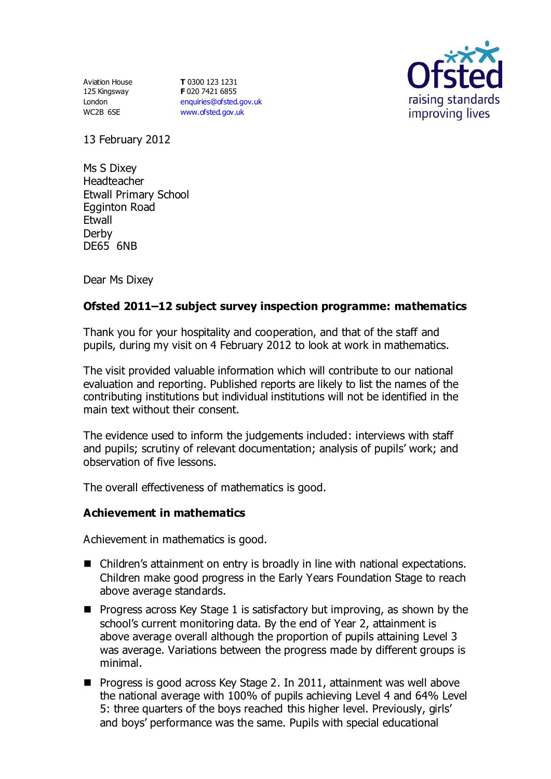Aviation House 125 Kingsway London WC2B 6SE

**T** 0300 123 1231 **F** 020 7421 6855 [enquiries@ofsted.gov.uk](mailto:enquiries@ofsted.gov.uk) [www.ofsted.gov.uk](http://www.ofsted.gov.uk/)



13 February 2012

Ms S Dixey Headteacher Etwall Primary School Egginton Road Etwall Derby DE65 6NB

Dear Ms Dixey

# **Ofsted 2011–12 subject survey inspection programme: mathematics**

Thank you for your hospitality and cooperation, and that of the staff and pupils, during my visit on 4 February 2012 to look at work in mathematics.

The visit provided valuable information which will contribute to our national evaluation and reporting. Published reports are likely to list the names of the contributing institutions but individual institutions will not be identified in the main text without their consent.

The evidence used to inform the judgements included: interviews with staff and pupils; scrutiny of relevant documentation; analysis of pupils' work; and observation of five lessons.

The overall effectiveness of mathematics is good.

# **Achievement in mathematics**

Achievement in mathematics is good.

- Children's attainment on entry is broadly in line with national expectations. Children make good progress in the Early Years Foundation Stage to reach above average standards.
- **Progress across Key Stage 1 is satisfactory but improving, as shown by the** school's current monitoring data. By the end of Year 2, attainment is above average overall although the proportion of pupils attaining Level 3 was average. Variations between the progress made by different groups is minimal.
- **Progress is good across Key Stage 2. In 2011, attainment was well above** the national average with 100% of pupils achieving Level 4 and 64% Level 5: three quarters of the boys reached this higher level. Previously, girls' and boys' performance was the same. Pupils with special educational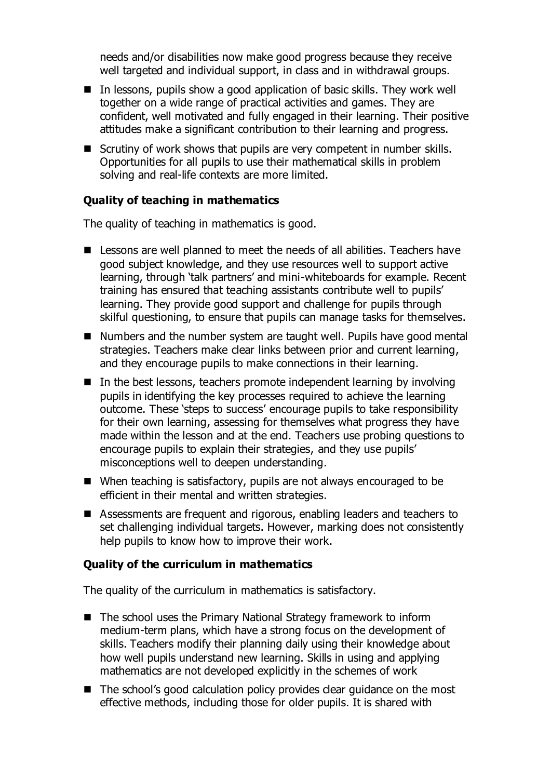needs and/or disabilities now make good progress because they receive well targeted and individual support, in class and in withdrawal groups.

- In lessons, pupils show a good application of basic skills. They work well together on a wide range of practical activities and games. They are confident, well motivated and fully engaged in their learning. Their positive attitudes make a significant contribution to their learning and progress.
- Scrutiny of work shows that pupils are very competent in number skills. Opportunities for all pupils to use their mathematical skills in problem solving and real-life contexts are more limited.

### **Quality of teaching in mathematics**

The quality of teaching in mathematics is good.

- Lessons are well planned to meet the needs of all abilities. Teachers have good subject knowledge, and they use resources well to support active learning, through 'talk partners' and mini-whiteboards for example. Recent training has ensured that teaching assistants contribute well to pupils' learning. They provide good support and challenge for pupils through skilful questioning, to ensure that pupils can manage tasks for themselves.
- Numbers and the number system are taught well. Pupils have good mental strategies. Teachers make clear links between prior and current learning, and they encourage pupils to make connections in their learning.
- $\blacksquare$  In the best lessons, teachers promote independent learning by involving pupils in identifying the key processes required to achieve the learning outcome. These 'steps to success' encourage pupils to take responsibility for their own learning, assessing for themselves what progress they have made within the lesson and at the end. Teachers use probing questions to encourage pupils to explain their strategies, and they use pupils' misconceptions well to deepen understanding.
- When teaching is satisfactory, pupils are not always encouraged to be efficient in their mental and written strategies.
- Assessments are frequent and rigorous, enabling leaders and teachers to set challenging individual targets. However, marking does not consistently help pupils to know how to improve their work.

#### **Quality of the curriculum in mathematics**

The quality of the curriculum in mathematics is satisfactory.

- The school uses the Primary National Strategy framework to inform medium-term plans, which have a strong focus on the development of skills. Teachers modify their planning daily using their knowledge about how well pupils understand new learning. Skills in using and applying mathematics are not developed explicitly in the schemes of work
- The school's good calculation policy provides clear guidance on the most effective methods, including those for older pupils. It is shared with